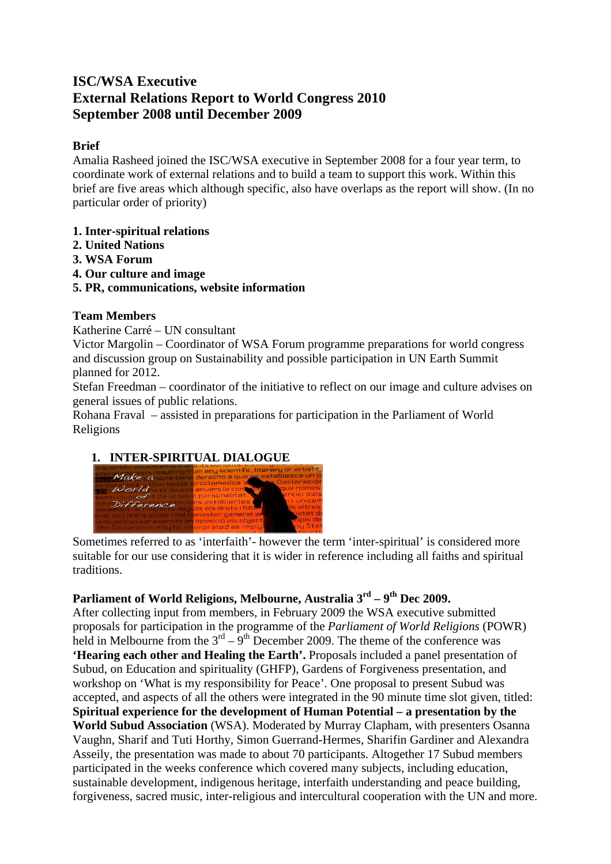# **ISC/WSA Executive External Relations Report to World Congress 2010 September 2008 until December 2009**

### **Brief**

Amalia Rasheed joined the ISC/WSA executive in September 2008 for a four year term, to coordinate work of external relations and to build a team to support this work. Within this brief are five areas which although specific, also have overlaps as the report will show. (In no particular order of priority)

- **1. Inter-spiritual relations**
- **2. United Nations**
- **3. WSA Forum**
- **4. Our culture and image**
- **5. PR, communications, website information**

## **Team Members**

Katherine Carré – UN consultant

Victor Margolin – Coordinator of WSA Forum programme preparations for world congress and discussion group on Sustainability and possible participation in UN Earth Summit planned for 2012.

Stefan Freedman – coordinator of the initiative to reflect on our image and culture advises on general issues of public relations.

Rohana Fraval – assisted in preparations for participation in the Parliament of World Religions

# **1. INTER-SPIRITUAL DIALOGUE**



Sometimes referred to as 'interfaith'- however the term 'inter-spiritual' is considered more suitable for our use considering that it is wider in reference including all faiths and spiritual traditions.

# Parliament of World Religions, Melbourne, Australia 3<sup>rd</sup> – 9<sup>th</sup> Dec 2009.

After collecting input from members, in February 2009 the WSA executive submitted proposals for participation in the programme of the *Parliament of World Religions* (POWR) held in Melbourne from the  $3<sup>rd</sup> - 9<sup>th</sup>$  December 2009. The theme of the conference was **'Hearing each other and Healing the Earth'.** Proposals included a panel presentation of Subud, on Education and spirituality (GHFP), Gardens of Forgiveness presentation, and workshop on 'What is my responsibility for Peace'. One proposal to present Subud was accepted, and aspects of all the others were integrated in the 90 minute time slot given, titled: **Spiritual experience for the development of Human Potential – a presentation by the World Subud Association** (WSA). Moderated by Murray Clapham, with presenters Osanna Vaughn, Sharif and Tuti Horthy, Simon Guerrand-Hermes, Sharifin Gardiner and Alexandra Asseily, the presentation was made to about 70 participants. Altogether 17 Subud members participated in the weeks conference which covered many subjects, including education, sustainable development, indigenous heritage, interfaith understanding and peace building, forgiveness, sacred music, inter-religious and intercultural cooperation with the UN and more.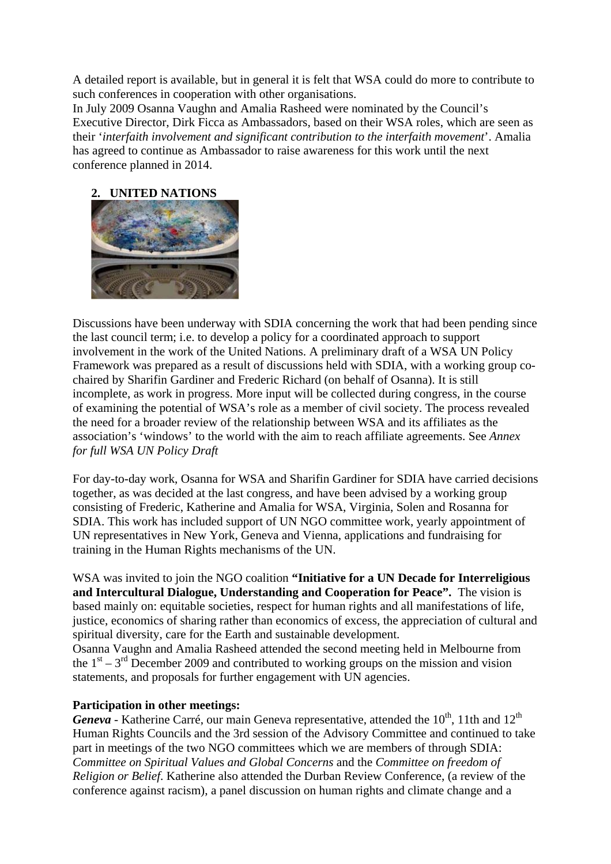A detailed report is available, but in general it is felt that WSA could do more to contribute to such conferences in cooperation with other organisations.

In July 2009 Osanna Vaughn and Amalia Rasheed were nominated by the Council's Executive Director, Dirk Ficca as Ambassadors, based on their WSA roles, which are seen as their '*interfaith involvement and significant contribution to the interfaith movement*'. Amalia has agreed to continue as Ambassador to raise awareness for this work until the next conference planned in 2014.

#### **2. UNITED NATIONS**



Discussions have been underway with SDIA concerning the work that had been pending since the last council term; i.e. to develop a policy for a coordinated approach to support involvement in the work of the United Nations. A preliminary draft of a WSA UN Policy Framework was prepared as a result of discussions held with SDIA, with a working group cochaired by Sharifin Gardiner and Frederic Richard (on behalf of Osanna). It is still incomplete, as work in progress. More input will be collected during congress, in the course of examining the potential of WSA's role as a member of civil society. The process revealed the need for a broader review of the relationship between WSA and its affiliates as the association's 'windows' to the world with the aim to reach affiliate agreements. See *Annex for full WSA UN Policy Draft*

For day-to-day work, Osanna for WSA and Sharifin Gardiner for SDIA have carried decisions together, as was decided at the last congress, and have been advised by a working group consisting of Frederic, Katherine and Amalia for WSA, Virginia, Solen and Rosanna for SDIA. This work has included support of UN NGO committee work, yearly appointment of UN representatives in New York, Geneva and Vienna, applications and fundraising for training in the Human Rights mechanisms of the UN.

WSA was invited to join the NGO coalition **"Initiative for a UN Decade for Interreligious and Intercultural Dialogue, Understanding and Cooperation for Peace".** The vision is based mainly on: equitable societies, respect for human rights and all manifestations of life, justice, economics of sharing rather than economics of excess, the appreciation of cultural and spiritual diversity, care for the Earth and sustainable development.

Osanna Vaughn and Amalia Rasheed attended the second meeting held in Melbourne from the  $1<sup>st</sup> - 3<sup>rd</sup>$  December 2009 and contributed to working groups on the mission and vision statements, and proposals for further engagement with UN agencies.

#### **Participation in other meetings:**

*Geneva* - Katherine Carré, our main Geneva representative, attended the 10<sup>th</sup>, 11th and 12<sup>th</sup> Human Rights Councils and the 3rd session of the Advisory Committee and continued to take part in meetings of the two NGO committees which we are members of through SDIA: *Committee on Spiritual Value*s *and Global Concerns* and the *Committee on freedom of Religion or Belief*. Katherine also attended the Durban Review Conference, (a review of the conference against racism), a panel discussion on human rights and climate change and a